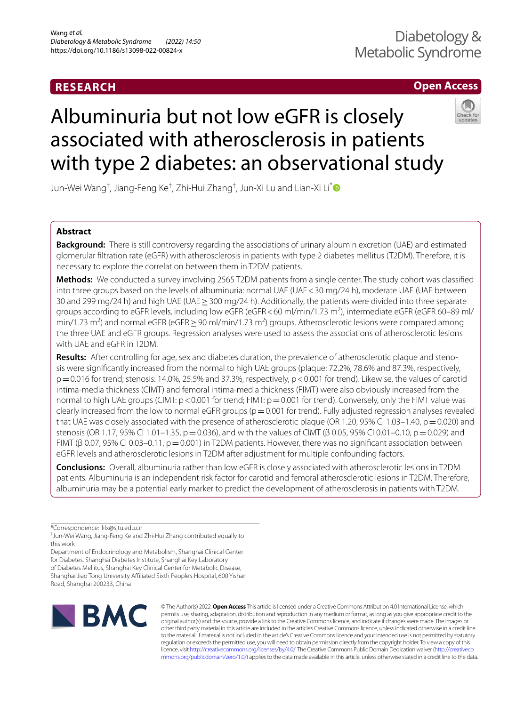# **RESEARCH**

# **Open Access**



# Albuminuria but not low eGFR is closely associated with atherosclerosis in patients with type 2 diabetes: an observational study

Jun-Wei Wang<sup>†</sup>, Jiang-Feng Ke<sup>†</sup>, Zhi-Hui Zhang<sup>†</sup>, Jun-Xi Lu and Lian-Xi Li<sup>[\\*](http://orcid.org/0000-0001-6073-4901)</sup>

# **Abstract**

**Background:** There is still controversy regarding the associations of urinary albumin excretion (UAE) and estimated glomerular fltration rate (eGFR) with atherosclerosis in patients with type 2 diabetes mellitus (T2DM). Therefore, it is necessary to explore the correlation between them in T2DM patients.

**Methods:** We conducted a survey involving 2565 T2DM patients from a single center. The study cohort was classifed into three groups based on the levels of albuminuria: normal UAE (UAE<30 mg/24 h), moderate UAE (UAE between 30 and 299 mg/24 h) and high UAE (UAE≥300 mg/24 h). Additionally, the patients were divided into three separate groups according to eGFR levels, including low eGFR (eGFR<60 ml/min/1.73 m<sup>2</sup>), intermediate eGFR (eGFR 60–89 ml/ min/1.73 m<sup>2</sup>) and normal eGFR (eGFR  $\geq$  90 ml/min/1.73 m<sup>2</sup>) groups. Atherosclerotic lesions were compared among the three UAE and eGFR groups. Regression analyses were used to assess the associations of atherosclerotic lesions with UAE and eGFR in T2DM.

**Results:** After controlling for age, sex and diabetes duration, the prevalence of atherosclerotic plaque and stenosis were signifcantly increased from the normal to high UAE groups (plaque: 72.2%, 78.6% and 87.3%, respectively, p=0.016 for trend; stenosis: 14.0%, 25.5% and 37.3%, respectively, p<0.001 for trend). Likewise, the values of carotid intima-media thickness (CIMT) and femoral intima-media thickness (FIMT) were also obviously increased from the normal to high UAE groups (CIMT:  $p < 0.001$  for trend; FIMT:  $p = 0.001$  for trend). Conversely, only the FIMT value was clearly increased from the low to normal eGFR groups ( $p=0.001$  for trend). Fully adjusted regression analyses revealed that UAE was closely associated with the presence of atherosclerotic plaque (OR 1.20, 95% CI 1.03–1.40,  $p=0.020$ ) and stenosis (OR 1.17, 95% CI 1.01–1.35, p = 0.036), and with the values of CIMT (β 0.05, 95% CI 0.01–0.10, p = 0.029) and FIMT (β 0.07, 95% CI 0.03–0.11,  $p = 0.001$ ) in T2DM patients. However, there was no significant association between eGFR levels and atherosclerotic lesions in T2DM after adjustment for multiple confounding factors.

**Conclusions:** Overall, albuminuria rather than low eGFR is closely associated with atherosclerotic lesions in T2DM patients. Albuminuria is an independent risk factor for carotid and femoral atherosclerotic lesions in T2DM. Therefore, albuminuria may be a potential early marker to predict the development of atherosclerosis in patients with T2DM.

\*Correspondence: lilx@sjtu.edu.cn

Department of Endocrinology and Metabolism, Shanghai Clinical Center for Diabetes, Shanghai Diabetes Institute, Shanghai Key Laboratory of Diabetes Mellitus, Shanghai Key Clinical Center for Metabolic Disease, Shanghai Jiao Tong University Afliated Sixth People's Hospital, 600 Yishan Road, Shanghai 200233, China



© The Author(s) 2022. **Open Access** This article is licensed under a Creative Commons Attribution 4.0 International License, which permits use, sharing, adaptation, distribution and reproduction in any medium or format, as long as you give appropriate credit to the original author(s) and the source, provide a link to the Creative Commons licence, and indicate if changes were made. The images or other third party material in this article are included in the article's Creative Commons licence, unless indicated otherwise in a credit line to the material. If material is not included in the article's Creative Commons licence and your intended use is not permitted by statutory regulation or exceeds the permitted use, you will need to obtain permission directly from the copyright holder. To view a copy of this licence, visit [http://creativecommons.org/licenses/by/4.0/.](http://creativecommons.org/licenses/by/4.0/) The Creative Commons Public Domain Dedication waiver ([http://creativeco](http://creativecommons.org/publicdomain/zero/1.0/) [mmons.org/publicdomain/zero/1.0/](http://creativecommons.org/publicdomain/zero/1.0/)) applies to the data made available in this article, unless otherwise stated in a credit line to the data.

<sup>†</sup> Jun-Wei Wang, Jiang-Feng Ke and Zhi-Hui Zhang contributed equally to this work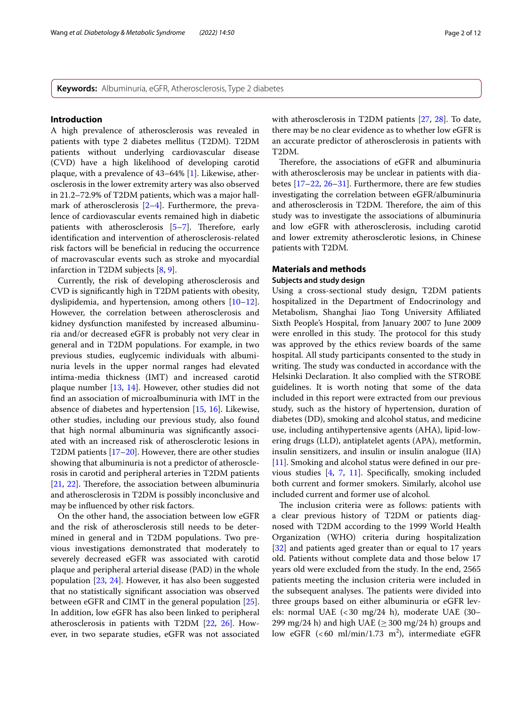**Keywords:** Albuminuria, eGFR, Atherosclerosis, Type 2 diabetes

#### **Introduction**

A high prevalence of atherosclerosis was revealed in patients with type 2 diabetes mellitus (T2DM). T2DM patients without underlying cardiovascular disease (CVD) have a high likelihood of developing carotid plaque, with a prevalence of 43–64% [\[1](#page-10-0)]. Likewise, atherosclerosis in the lower extremity artery was also observed in 21.2–72.9% of T2DM patients, which was a major hallmark of atherosclerosis [[2](#page-10-1)[–4](#page-10-2)]. Furthermore, the prevalence of cardiovascular events remained high in diabetic patients with atherosclerosis  $[5-7]$  $[5-7]$ . Therefore, early identifcation and intervention of atherosclerosis-related risk factors will be benefcial in reducing the occurrence of macrovascular events such as stroke and myocardial infarction in T2DM subjects [\[8](#page-10-5), [9\]](#page-10-6).

Currently, the risk of developing atherosclerosis and CVD is signifcantly high in T2DM patients with obesity, dyslipidemia, and hypertension, among others [[10](#page-10-7)[–12](#page-10-8)]. However, the correlation between atherosclerosis and kidney dysfunction manifested by increased albuminuria and/or decreased eGFR is probably not very clear in general and in T2DM populations. For example, in two previous studies, euglycemic individuals with albuminuria levels in the upper normal ranges had elevated intima-media thickness (IMT) and increased carotid plaque number [[13](#page-10-9), [14\]](#page-10-10). However, other studies did not fnd an association of microalbuminuria with IMT in the absence of diabetes and hypertension [[15,](#page-10-11) [16\]](#page-10-12). Likewise, other studies, including our previous study, also found that high normal albuminuria was signifcantly associated with an increased risk of atherosclerotic lesions in T2DM patients [[17–](#page-10-13)[20\]](#page-10-14). However, there are other studies showing that albuminuria is not a predictor of atherosclerosis in carotid and peripheral arteries in T2DM patients  $[21, 22]$  $[21, 22]$  $[21, 22]$  $[21, 22]$ . Therefore, the association between albuminuria and atherosclerosis in T2DM is possibly inconclusive and may be infuenced by other risk factors.

On the other hand, the association between low eGFR and the risk of atherosclerosis still needs to be determined in general and in T2DM populations. Two previous investigations demonstrated that moderately to severely decreased eGFR was associated with carotid plaque and peripheral arterial disease (PAD) in the whole population [[23](#page-10-17), [24\]](#page-10-18). However, it has also been suggested that no statistically signifcant association was observed between eGFR and CIMT in the general population [\[25](#page-10-19)]. In addition, low eGFR has also been linked to peripheral atherosclerosis in patients with T2DM [[22](#page-10-16), [26](#page-10-20)]. However, in two separate studies, eGFR was not associated with atherosclerosis in T2DM patients [\[27](#page-10-21), [28](#page-10-22)]. To date, there may be no clear evidence as to whether low eGFR is an accurate predictor of atherosclerosis in patients with T2DM.

Therefore, the associations of eGFR and albuminuria with atherosclerosis may be unclear in patients with diabetes [[17–](#page-10-13)[22,](#page-10-16) [26](#page-10-20)[–31](#page-10-23)]. Furthermore, there are few studies investigating the correlation between eGFR/albuminuria and atherosclerosis in T2DM. Therefore, the aim of this study was to investigate the associations of albuminuria and low eGFR with atherosclerosis, including carotid and lower extremity atherosclerotic lesions, in Chinese patients with T2DM.

# **Materials and methods**

# **Subjects and study design**

Using a cross-sectional study design, T2DM patients hospitalized in the Department of Endocrinology and Metabolism, Shanghai Jiao Tong University Afliated Sixth People's Hospital, from January 2007 to June 2009 were enrolled in this study. The protocol for this study was approved by the ethics review boards of the same hospital. All study participants consented to the study in writing. The study was conducted in accordance with the Helsinki Declaration. It also complied with the STROBE guidelines. It is worth noting that some of the data included in this report were extracted from our previous study, such as the history of hypertension, duration of diabetes (DD), smoking and alcohol status, and medicine use, including antihypertensive agents (AHA), lipid-lowering drugs (LLD), antiplatelet agents (APA), metformin, insulin sensitizers, and insulin or insulin analogue (IIA) [[11\]](#page-10-24). Smoking and alcohol status were defined in our previous studies [\[4](#page-10-2), [7](#page-10-4), [11\]](#page-10-24). Specifcally, smoking included both current and former smokers. Similarly, alcohol use included current and former use of alcohol.

The inclusion criteria were as follows: patients with a clear previous history of T2DM or patients diagnosed with T2DM according to the 1999 World Health Organization (WHO) criteria during hospitalization [[32\]](#page-10-25) and patients aged greater than or equal to 17 years old. Patients without complete data and those below 17 years old were excluded from the study. In the end, 2565 patients meeting the inclusion criteria were included in the subsequent analyses. The patients were divided into three groups based on either albuminuria or eGFR levels: normal UAE (<30 mg/24 h), moderate UAE (30– 299 mg/24 h) and high UAE ( $\geq$  300 mg/24 h) groups and low eGFR  $( $60 \text{ ml/min}/1.73 \text{ m}^2$ ), intermediate eGFR$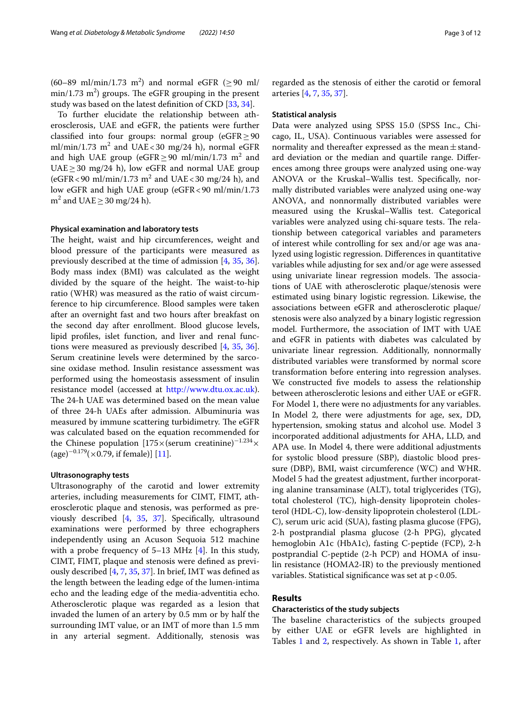$(60-89 \text{ ml/min}/1.73 \text{ m}^2)$  and normal eGFR  $( \geq 90 \text{ ml/m}^2)$  $\min/1.73 \text{ m}^2$ ) groups. The eGFR grouping in the present study was based on the latest definition of CKD [[33,](#page-10-26) [34\]](#page-10-27).

To further elucidate the relationship between atherosclerosis, UAE and eGFR, the patients were further classified into four groups: normal group (eGFR $\geq$ 90 ml/min/1.73  $m^2$  and UAE<30 mg/24 h), normal eGFR and high UAE group (eGFR $\geq$ 90 ml/min/1.73 m<sup>2</sup> and UAE ≥ 30 mg/24 h), low eGFR and normal UAE group (eGFR < 90 ml/min/1.73  $m^2$  and UAE < 30 mg/24 h), and low eGFR and high UAE group (eGFR<90 ml/min/1.73  $m^2$  and UAE  $\geq$  30 mg/24 h).

## **Physical examination and laboratory tests**

The height, waist and hip circumferences, weight and blood pressure of the participants were measured as previously described at the time of admission [\[4](#page-10-2), [35](#page-10-28), [36](#page-10-29)]. Body mass index (BMI) was calculated as the weight divided by the square of the height. The waist-to-hip ratio (WHR) was measured as the ratio of waist circumference to hip circumference. Blood samples were taken after an overnight fast and two hours after breakfast on the second day after enrollment. Blood glucose levels, lipid profles, islet function, and liver and renal functions were measured as previously described [[4](#page-10-2), [35,](#page-10-28) [36](#page-10-29)]. Serum creatinine levels were determined by the sarcosine oxidase method. Insulin resistance assessment was performed using the homeostasis assessment of insulin resistance model (accessed at <http://www.dtu.ox.ac.uk>). The 24-h UAE was determined based on the mean value of three 24-h UAEs after admission. Albuminuria was measured by immune scattering turbidimetry. The eGFR was calculated based on the equation recommended for the Chinese population  $[175 \times (serum creationine)^{-1.234} \times$  $(\text{age})^{-0.179} (\times 0.79)$ , if female)] [[11](#page-10-24)].

#### **Ultrasonography tests**

Ultrasonography of the carotid and lower extremity arteries, including measurements for CIMT, FIMT, atherosclerotic plaque and stenosis, was performed as previously described [\[4,](#page-10-2) [35,](#page-10-28) [37\]](#page-11-0). Specifcally, ultrasound examinations were performed by three echographers independently using an Acuson Sequoia 512 machine with a probe frequency of  $5-13$  MHz  $[4]$  $[4]$ . In this study, CIMT, FIMT, plaque and stenosis were defned as previously described [\[4](#page-10-2), [7,](#page-10-4) [35](#page-10-28), [37](#page-11-0)]. In brief, IMT was defned as the length between the leading edge of the lumen-intima echo and the leading edge of the media-adventitia echo. Atherosclerotic plaque was regarded as a lesion that invaded the lumen of an artery by 0.5 mm or by half the surrounding IMT value, or an IMT of more than 1.5 mm in any arterial segment. Additionally, stenosis was regarded as the stenosis of either the carotid or femoral arteries [[4,](#page-10-2) [7](#page-10-4), [35,](#page-10-28) [37](#page-11-0)].

#### **Statistical analysis**

Data were analyzed using SPSS 15.0 (SPSS Inc., Chicago, IL, USA). Continuous variables were assessed for normality and thereafter expressed as the mean $\pm$ standard deviation or the median and quartile range. Diferences among three groups were analyzed using one-way ANOVA or the Kruskal–Wallis test. Specifcally, normally distributed variables were analyzed using one-way ANOVA, and nonnormally distributed variables were measured using the Kruskal–Wallis test. Categorical variables were analyzed using chi-square tests. The relationship between categorical variables and parameters of interest while controlling for sex and/or age was analyzed using logistic regression. Diferences in quantitative variables while adjusting for sex and/or age were assessed using univariate linear regression models. The associations of UAE with atherosclerotic plaque/stenosis were estimated using binary logistic regression. Likewise, the associations between eGFR and atherosclerotic plaque/ stenosis were also analyzed by a binary logistic regression model. Furthermore, the association of IMT with UAE and eGFR in patients with diabetes was calculated by univariate linear regression. Additionally, nonnormally distributed variables were transformed by normal score transformation before entering into regression analyses. We constructed fve models to assess the relationship between atherosclerotic lesions and either UAE or eGFR. For Model 1, there were no adjustments for any variables. In Model 2, there were adjustments for age, sex, DD, hypertension, smoking status and alcohol use. Model 3 incorporated additional adjustments for AHA, LLD, and APA use. In Model 4, there were additional adjustments for systolic blood pressure (SBP), diastolic blood pressure (DBP), BMI, waist circumference (WC) and WHR. Model 5 had the greatest adjustment, further incorporating alanine transaminase (ALT), total triglycerides (TG), total cholesterol (TC), high-density lipoprotein cholesterol (HDL-C), low-density lipoprotein cholesterol (LDL-C), serum uric acid (SUA), fasting plasma glucose (FPG), 2-h postprandial plasma glucose (2-h PPG), glycated hemoglobin A1c (HbA1c), fasting C-peptide (FCP), 2-h postprandial C-peptide (2-h PCP) and HOMA of insulin resistance (HOMA2-IR) to the previously mentioned variables. Statistical significance was set at  $p < 0.05$ .

# **Results**

#### **Characteristics of the study subjects**

The baseline characteristics of the subjects grouped by either UAE or eGFR levels are highlighted in Tables [1](#page-3-0) and [2](#page-4-0), respectively. As shown in Table [1,](#page-3-0) after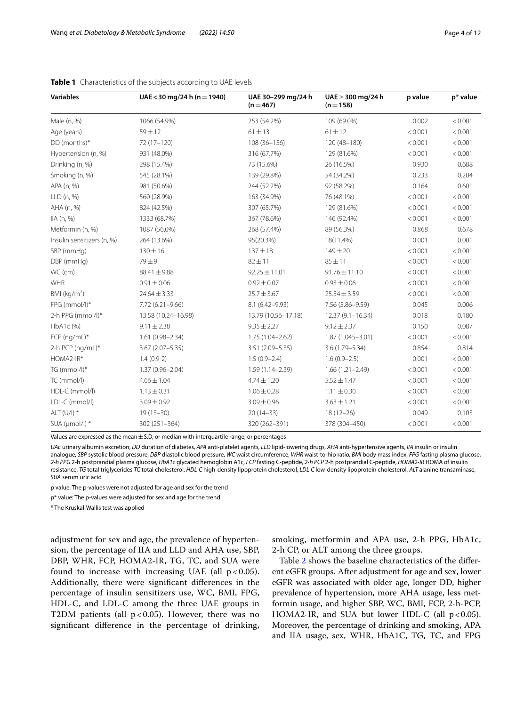| <b>Variables</b>           | UAE < 30 mg/24 h (n = 1940) | UAE 30-299 mg/24 h<br>$(n=467)$ | $UAE > 300$ mg/24 h<br>$(n=158)$ | p value | p* value |
|----------------------------|-----------------------------|---------------------------------|----------------------------------|---------|----------|
| Male (n, %)                | 1066 (54.9%)                | 253 (54.2%)                     | 109 (69.0%)                      | 0.002   | < 0.001  |
| Age (years)                | $59 \pm 12$                 | $61 \pm 13$                     | $61 \pm 12$                      | < 0.001 | < 0.001  |
| DD (months)*               | 72 (17-120)                 | 108 (36-156)                    | $120(48 - 180)$                  | < 0.001 | < 0.001  |
| Hypertension (n, %)        | 931 (48.0%)                 | 316 (67.7%)                     | 129 (81.6%)                      | < 0.001 | < 0.001  |
| Drinking (n, %)            | 298 (15.4%)                 | 73 (15.6%)                      | 26 (16.5%)                       | 0.930   | 0.688    |
| Smoking (n, %)             | 545 (28.1%)                 | 139 (29.8%)                     | 54 (34.2%)                       | 0.233   | 0.204    |
| APA (n, %)                 | 981 (50.6%)                 | 244 (52.2%)                     | 92 (58.2%)                       | 0.164   | 0.601    |
| LLD (n, %)                 | 560 (28.9%)                 | 163 (34.9%)                     | 76 (48.1%)                       | < 0.001 | < 0.001  |
| AHA (n, %)                 | 824 (42.5%)                 | 307 (65.7%)                     | 129 (81.6%)                      | < 0.001 | < 0.001  |
| IIA(n, %)                  | 1333 (68.7%)                | 367 (78.6%)                     | 146 (92.4%)                      | < 0.001 | < 0.001  |
| Metformin (n, %)           | 1087 (56.0%)                | 268 (57.4%)                     | 89 (56.3%)                       | 0.868   | 0.678    |
| Insulin sensitizers (n, %) | 264 (13.6%)                 | 95(20.3%)                       | 18(11.4%)                        | 0.001   | 0.001    |
| SBP (mmHq)                 | $130 \pm 16$                | $137 + 18$                      | $149 + 20$                       | < 0.001 | < 0.001  |
| DBP (mmHg)                 | 79±9                        | $82 \pm 11$                     | $85 + 11$                        | < 0.001 | < 0.001  |
| WC (cm)                    | $88.41 \pm 9.88$            | $92.25 \pm 11.01$               | $91.76 \pm 11.10$                | < 0.001 | < 0.001  |
| WHR                        | $0.91 \pm 0.06$             | $0.92 \pm 0.07$                 | $0.93 \pm 0.06$                  | < 0.001 | < 0.001  |
| BMI ( $kg/m2$ )            | $24.64 \pm 3.33$            | $25.7 \pm 3.67$                 | $25.54 \pm 3.59$                 | < 0.001 | < 0.001  |
| FPG (mmol/l)*              | $7.72(6.21 - 9.66)$         | $8.1(6.42 - 9.93)$              | 7.56 (5.86-9.59)                 | 0.045   | 0.006    |
| 2-h PPG (mmol/l)*          | 13.58 (10.24-16.98)         | 13.79 (10.56-17.18)             | $12.37(9.1 - 16.34)$             | 0.018   | 0.180    |
| $HbA1c$ (%)                | $9.11 \pm 2.38$             | $9.35 \pm 2.27$                 | $9.12 \pm 2.37$                  | 0.150   | 0.087    |
| FCP (ng/mL)*               | $1.61(0.98 - 2.34)$         | $1.75(1.04 - 2.62)$             | $1.87(1.045 - 3.01)$             | < 0.001 | < 0.001  |
| 2-h PCP (ng/mL)*           | $3.67(2.07 - 5.35)$         | 3.51 (2.09-5.35)                | $3.6(1.79 - 5.34)$               | 0.854   | 0.814    |
| HOMA2-IR*                  | $1.4(0.9-2)$                | $1.5(0.9 - 2.4)$                | $1.6(0.9-2.5)$                   | 0.001   | < 0.001  |
| TG (mmol/l)*               | $1.37(0.96 - 2.04)$         | 1.59 (1.14-2.39)                | $1.66(1.21 - 2.49)$              | < 0.001 | < 0.001  |
| TC (mmol/l)                | $4.66 \pm 1.04$             | $4.74 \pm 1.20$                 | $5.52 \pm 1.47$                  | < 0.001 | < 0.001  |
| HDL-C (mmol/l)             | $1.13 \pm 0.31$             | $1.06 \pm 0.28$                 | $1.11 \pm 0.30$                  | < 0.001 | < 0.001  |
| LDL-C (mmol/l)             | $3.09 \pm 0.92$             | $3.09 \pm 0.96$                 | $3.63 \pm 1.21$                  | < 0.001 | < 0.001  |
| ALT $(U/I)$ *              | $19(13 - 30)$               | $20(14-33)$                     | $18(12-26)$                      | 0.049   | 0.103    |
| SUA (µmol/l) *             | 302 (251-364)               | 320 (262-391)                   | 378 (304-450)                    | < 0.001 | < 0.001  |

## <span id="page-3-0"></span>**Table 1** Characteristics of the subjects according to UAE levels

Values are expressed as the mean  $\pm$  S.D, or median with interquartile range, or percentages

*UAE* urinary albumin excretion, *DD* duration of diabetes, *APA* anti-platelet agents, *LLD* lipid-lowering drugs, *AHA* anti-hypertensive agents, *IIA* insulin or insulin analogue, *SBP* systolic blood pressure, *DBP* diastolic blood pressure, *WC* waist circumference, *WHR* waist-to-hip ratio, *BMI* body mass index, *FPG* fasting plasma glucose, *2-h PPG* 2-h postprandial plasma glucose, *HbA1c* glycated hemoglobin A1c, *FCP* fasting C-peptide, *2-h PCP* 2-h postprandial C-peptide, *HOMA2-IR* HOMA of insulin resistance, *TG* total triglycerides *TC* total cholesterol, *HDL-C* high-density lipoprotein cholesterol, *LDL-C* low-density lipoprotein cholesterol, *ALT* alanine transaminase, *SUA* serum uric acid

p value: The p-values were not adjusted for age and sex for the trend

p\* value: The p-values were adjusted for sex and age for the trend

\* The Kruskal-Wallis test was applied

adjustment for sex and age, the prevalence of hypertension, the percentage of IIA and LLD and AHA use, SBP, DBP, WHR, FCP, HOMA2-IR, TG, TC, and SUA were found to increase with increasing UAE (all  $p < 0.05$ ). Additionally, there were signifcant diferences in the percentage of insulin sensitizers use, WC, BMI, FPG, HDL-C, and LDL-C among the three UAE groups in T2DM patients (all  $p < 0.05$ ). However, there was no signifcant diference in the percentage of drinking, smoking, metformin and APA use, 2-h PPG, HbA1c, 2-h CP, or ALT among the three groups.

Table [2](#page-4-0) shows the baseline characteristics of the diferent eGFR groups. After adjustment for age and sex, lower eGFR was associated with older age, longer DD, higher prevalence of hypertension, more AHA usage, less metformin usage, and higher SBP, WC, BMI, FCP, 2-h-PCP, HOMA2-IR, and SUA but lower HDL-C (all  $p < 0.05$ ). Moreover, the percentage of drinking and smoking, APA and IIA usage, sex, WHR, HbA1C, TG, TC, and FPG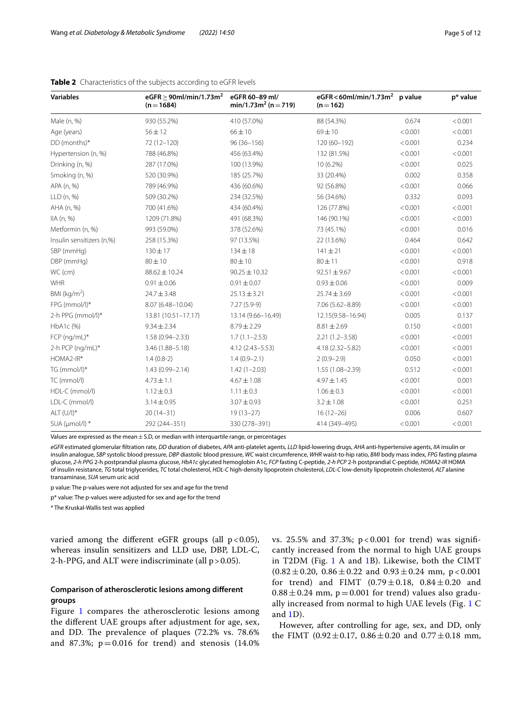| <b>Variables</b>          | eGFR $\geq$ 90ml/min/1.73m <sup>2</sup><br>$(n = 1684)$ | eGFR 60-89 ml/<br>$min/1.73m^2 (n=719)$ | eGFR < 60ml/min/1.73m <sup>2</sup> p value<br>$(n=162)$ |         | p* value |
|---------------------------|---------------------------------------------------------|-----------------------------------------|---------------------------------------------------------|---------|----------|
| Male (n, %)               | 930 (55.2%)                                             | 410 (57.0%)                             | 88 (54.3%)                                              | 0.674   | < 0.001  |
| Age (years)               | $56 \pm 12$                                             | $66 \pm 10$                             | $69 + 10$                                               | < 0.001 | < 0.001  |
| DD (months)*              | 72 (12-120)                                             | $96(36 - 156)$                          | 120 (60-192)                                            | < 0.001 | 0.234    |
| Hypertension (n, %)       | 788 (46.8%)                                             | 456 (63.4%)                             | 132 (81.5%)                                             | < 0.001 | < 0.001  |
| Drinking (n, %)           | 287 (17.0%)                                             | 100 (13.9%)                             | 10 (6.2%)                                               | < 0.001 | 0.025    |
| Smoking (n, %)            | 520 (30.9%)                                             | 185 (25.7%)                             | 33 (20.4%)                                              | 0.002   | 0.358    |
| APA (n, %)                | 789 (46.9%)                                             | 436 (60.6%)                             | 92 (56.8%)                                              | < 0.001 | 0.066    |
| LLD (n, %)                | 509 (30.2%)                                             | 234 (32.5%)                             | 56 (34.6%)                                              | 0.332   | 0.093    |
| AHA (n, %)                | 700 (41.6%)                                             | 434 (60.4%)                             | 126 (77.8%)                                             | < 0.001 | < 0.001  |
| IIA(n, %)                 | 1209 (71.8%)                                            | 491 (68.3%)                             | 146 (90.1%)                                             | < 0.001 | < 0.001  |
| Metformin (n, %)          | 993 (59.0%)                                             | 378 (52.6%)                             | 73 (45.1%)                                              | < 0.001 | 0.016    |
| Insulin sensitizers (n,%) | 258 (15.3%)                                             | 97 (13.5%)                              | 22 (13.6%)                                              | 0.464   | 0.642    |
| SBP (mmHg)                | $130 \pm 17$                                            | $134 \pm 18$                            | $141 \pm 21$                                            | < 0.001 | < 0.001  |
| DBP (mmHg)                | $80 \pm 10$                                             | $80 \pm 10$                             | $80 + 11$                                               | < 0.001 | 0.918    |
| WC (cm)                   | 88.62 ± 10.24                                           | $90.25 \pm 10.32$                       | $92.51 \pm 9.67$                                        | < 0.001 | < 0.001  |
| <b>WHR</b>                | $0.91 \pm 0.06$                                         | $0.91 \pm 0.07$                         | $0.93 \pm 0.06$                                         | < 0.001 | 0.009    |
| BMI ( $kg/m2$ )           | $24.7 \pm 3.48$                                         | $25.13 \pm 3.21$                        | $25.74 \pm 3.69$                                        | < 0.001 | < 0.001  |
| FPG (mmol/l)*             | 8.07 (6.48-10.04)                                       | $7.27(5.9-9)$                           | 7.06 (5.62-8.89)                                        | < 0.001 | < 0.001  |
| 2-h PPG (mmol/l)*         | 13.81 (10.51-17.17)                                     | 13.14 (9.66-16.49)                      | 12.15(9.58-16.94)                                       | 0.005   | 0.137    |
| $HbA1c$ (%)               | $9.34 \pm 2.34$                                         | $8.79 \pm 2.29$                         | $8.81 \pm 2.69$                                         | 0.150   | < 0.001  |
| FCP (ng/mL)*              | $1.58(0.94 - 2.33)$                                     | $1.7(1.1 - 2.53)$                       | $2.21(1.2 - 3.58)$                                      | < 0.001 | < 0.001  |
| 2-h PCP (ng/mL)*          | 3.46 (1.88-5.18)                                        | $4.12(2.43 - 5.53)$                     | 4.18 (2.32-5.82)                                        | < 0.001 | < 0.001  |
| HOMA2-IR*                 | $1.4(0.8-2)$                                            | $1.4(0.9-2.1)$                          | $2(0.9-2.9)$                                            | 0.050   | < 0.001  |
| TG (mmol/l)*              | $1.43(0.99 - 2.14)$                                     | $1.42(1 - 2.03)$                        | $1.55(1.08 - 2.39)$                                     | 0.512   | < 0.001  |
| TC (mmol/l)               | $4.73 \pm 1.1$                                          | $4.67 \pm 1.08$                         | $4.97 \pm 1.45$                                         | < 0.001 | 0.001    |
| HDL-C (mmol/l)            | $1.12 \pm 0.3$                                          | $1.11 \pm 0.3$                          | $1.06 \pm 0.3$                                          | < 0.001 | < 0.001  |
| LDL-C (mmol/l)            | $3.14 \pm 0.95$                                         | $3.07 \pm 0.93$                         | $3.2 \pm 1.08$                                          | < 0.001 | 0.251    |
| $ALT (U/I)*$              | $20(14-31)$                                             | $19(13-27)$                             | $16(12-26)$                                             | 0.006   | 0.607    |
| SUA (µmol/l) *            | 292 (244-351)                                           | 330 (278-391)                           | 414 (349-495)                                           | < 0.001 | < 0.001  |

# <span id="page-4-0"></span>**Table 2** Characteristics of the subjects according to eGFR levels

Values are expressed as the mean  $\pm$  S.D, or median with interquartile range, or percentages

*eGFR* estimated glomerular fltration rate, *DD* duration of diabetes, *APA* anti-platelet agents, *LLD* lipid-lowering drugs, *AHA* anti-hypertensive agents, *IIA* insulin or insulin analogue, *SBP* systolic blood pressure, *DBP* diastolic blood pressure, *WC* waist circumference, *WHR* waist-to-hip ratio, *BMI* body mass index, *FPG* fasting plasma glucose, *2-h PPG* 2-h postprandial plasma glucose, *HbA1c* glycated hemoglobin A1c, *FCP* fasting C-peptide, *2-h PCP* 2-h postprandial C-peptide, *HOMA2-IR* HOMA of insulin resistance, *TG* total triglycerides, *TC* total cholesterol, *HDL-C* high-density lipoprotein cholesterol, *LDL-C* low-density lipoprotein cholesterol, *ALT* alanine transaminase, *SUA* serum uric acid

p value: The p-values were not adjusted for sex and age for the trend

p\* value: The p-values were adjusted for sex and age for the trend

\* The Kruskal-Wallis test was applied

varied among the different eGFR groups (all  $p < 0.05$ ), whereas insulin sensitizers and LLD use, DBP, LDL-C, 2-h-PPG, and ALT were indiscriminate (all  $p > 0.05$ ).

# **Comparison of atherosclerotic lesions among diferent groups**

Figure [1](#page-5-0) compares the atherosclerotic lesions among the diferent UAE groups after adjustment for age, sex, and DD. The prevalence of plaques (72.2% vs. 78.6%) and 87.3%;  $p = 0.016$  for trend) and stenosis (14.0%) vs. 25.5% and 37.3%; p < 0.001 for trend) was signifcantly increased from the normal to high UAE groups in T2DM (Fig. [1](#page-5-0) A and [1](#page-5-0)B). Likewise, both the CIMT  $(0.82 \pm 0.20, 0.86 \pm 0.22, 0.93 \pm 0.24, 0.93 \pm 0.24)$  mm, p < 0.001 for trend) and FIMT  $(0.79 \pm 0.18, 0.84 \pm 0.20$  and  $0.88 \pm 0.24$  mm, p=0.001 for trend) values also gradually increased from normal to high UAE levels (Fig. [1](#page-5-0) C and [1D](#page-5-0)).

However, after controlling for age, sex, and DD, only the FIMT (0.92 $\pm$ 0.17, 0.86 $\pm$ 0.20 and 0.77 $\pm$ 0.18 mm,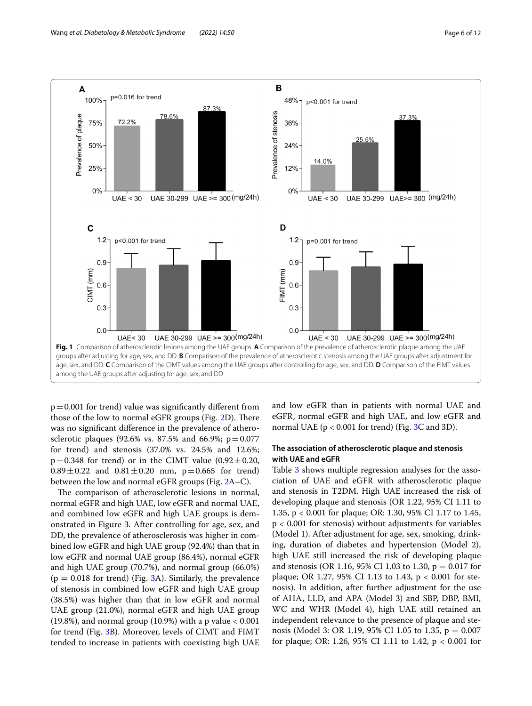

<span id="page-5-0"></span> $p=0.001$  for trend) value was significantly different from those of the low to normal eGFR groups (Fig. [2D](#page-6-0)). There was no signifcant diference in the prevalence of atherosclerotic plaques (92.6% vs. 87.5% and 66.9%;  $p = 0.077$ for trend) and stenosis (37.0% vs. 24.5% and 12.6%;  $p=0.348$  for trend) or in the CIMT value  $(0.92\pm0.20,$  $0.89 \pm 0.22$  and  $0.81 \pm 0.20$  mm, p=0.665 for trend) between the low and normal eGFR groups (Fig. [2](#page-6-0)A–C).

The comparison of atherosclerotic lesions in normal, normal eGFR and high UAE, low eGFR and normal UAE, and combined low eGFR and high UAE groups is demonstrated in Figure 3. After controlling for age, sex, and DD, the prevalence of atherosclerosis was higher in combined low eGFR and high UAE group (92.4%) than that in low eGFR and normal UAE group (86.4%), normal eGFR and high UAE group (70.7%), and normal group (66.0%)  $(p = 0.018$  for trend) (Fig. [3A](#page-6-1)). Similarly, the prevalence of stenosis in combined low eGFR and high UAE group (38.5%) was higher than that in low eGFR and normal UAE group (21.0%), normal eGFR and high UAE group (19.8%), and normal group (10.9%) with a p value  $< 0.001$ for trend (Fig. [3B](#page-6-1)). Moreover, levels of CIMT and FIMT tended to increase in patients with coexisting high UAE and low eGFR than in patients with normal UAE and eGFR, normal eGFR and high UAE, and low eGFR and normal UAE ( $p < 0.001$  for trend) (Fig. [3](#page-6-1)C and 3D).

# **The association of atherosclerotic plaque and stenosis with UAE and eGFR**

Table [3](#page-7-0) shows multiple regression analyses for the association of UAE and eGFR with atherosclerotic plaque and stenosis in T2DM. High UAE increased the risk of developing plaque and stenosis (OR 1.22, 95% CI 1.11 to 1.35, p < 0.001 for plaque; OR: 1.30, 95% CI 1.17 to 1.45, p < 0.001 for stenosis) without adjustments for variables (Model 1). After adjustment for age, sex, smoking, drinking, duration of diabetes and hypertension (Model 2), high UAE still increased the risk of developing plaque and stenosis (OR 1.16, 95% CI 1.03 to 1.30,  $p = 0.017$  for plaque; OR 1.27, 95% CI 1.13 to 1.43, p < 0.001 for stenosis). In addition, after further adjustment for the use of AHA, LLD, and APA (Model 3) and SBP, DBP, BMI, WC and WHR (Model 4), high UAE still retained an independent relevance to the presence of plaque and stenosis (Model 3: OR 1.19, 95% CI 1.05 to 1.35, p = 0.007 for plaque; OR: 1.26, 95% CI 1.11 to 1.42, p < 0.001 for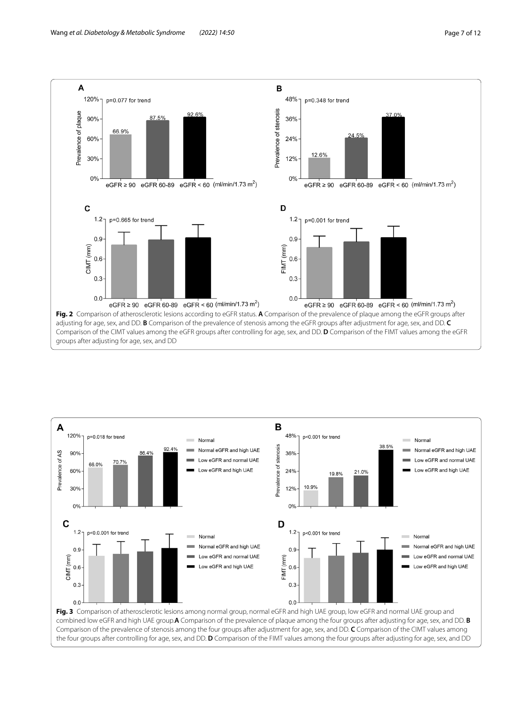



<span id="page-6-0"></span>

<span id="page-6-1"></span>Comparison of the prevalence of stenosis among the four groups after adjustment for age, sex, and DD. **C** Comparison of the CIMT values among the four groups after controlling for age, sex, and DD. **D** Comparison of the FIMT values among the four groups after adjusting for age, sex, and DD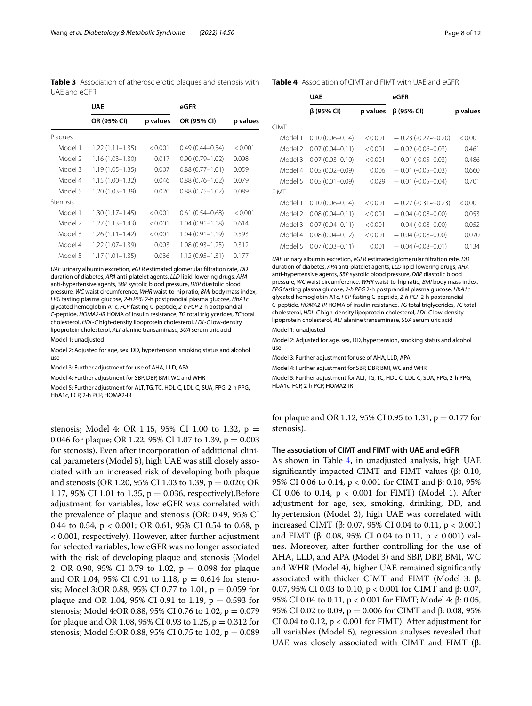<span id="page-7-0"></span>**Table 3** Association of atherosclerotic plaques and stenosis with UAE and eGFR

|          | <b>UAE</b>          |          | eGFR                |          |
|----------|---------------------|----------|---------------------|----------|
|          | OR (95% CI)         | p values | OR (95% CI)         | p values |
| Plaques  |                     |          |                     |          |
| Model 1  | $1.22(1.11 - 1.35)$ | < 0.001  | $0.49(0.44 - 0.54)$ | < 0.001  |
| Model 2  | $1.16(1.03 - 1.30)$ | 0.017    | $0.90(0.79 - 1.02)$ | 0.098    |
| Model 3  | $1.19(1.05 - 1.35)$ | 0.007    | $0.88(0.77 - 1.01)$ | 0.059    |
| Model 4  | $1.15(1.00-1.32)$   | 0.046    | $0.88(0.76 - 1.02)$ | 0.079    |
| Model 5  | 1.20 (1.03–1.39)    | 0.020    | $0.88(0.75 - 1.02)$ | 0.089    |
| Stenosis |                     |          |                     |          |
| Model 1  | $1.30(1.17 - 1.45)$ | < 0.001  | $0.61(0.54 - 0.68)$ | < 0.001  |
| Model 2  | $1.27(1.13 - 1.43)$ | < 0.001  | $1.04(0.91 - 1.18)$ | 0.614    |
| Model 3  | $1.26(1.11 - 1.42)$ | < 0.001  | $1.04(0.91 - 1.19)$ | 0.593    |
| Model 4  | 1.22 (1.07–1.39)    | 0.003    | $1.08(0.93 - 1.25)$ | 0.312    |
| Model 5  | $1.17(1.01 - 1.35)$ | 0.036    | $1.12(0.95 - 1.31)$ | 0.177    |

*UAE* urinary albumin excretion, *eGFR* estimated glomerular fltration rate, *DD* duration of diabetes, *APA* anti-platelet agents, *LLD* lipid-lowering drugs, *AHA* anti-hypertensive agents, *SBP* systolic blood pressure, *DBP* diastolic blood pressure, *WC* waist circumference, *WHR* waist-to-hip ratio, *BMI* body mass index, *FPG* fasting plasma glucose, *2-h PPG* 2-h postprandial plasma glucose, *HbA1c* glycated hemoglobin A1c, *FCP* fasting C-peptide, *2-h PCP* 2-h postprandial C-peptide, *HOMA2-IR* HOMA of insulin resistance, *TG* total triglycerides, *TC* total cholesterol, *HDL-C* high-density lipoprotein cholesterol, *LDL-C* low-density lipoprotein cholesterol, *ALT* alanine transaminase, *SUA* serum uric acid

Model 1: unadjusted

Model 2: Adjusted for age, sex, DD, hypertension, smoking status and alcohol use

Model 3: Further adjustment for use of AHA, LLD, APA

Model 4: Further adjustment for SBP, DBP, BMI, WC and WHR

Model 5: Further adjustment for ALT, TG, TC, HDL-C, LDL-C, SUA, FPG, 2-h PPG, HbA1c, FCP, 2-h PCP, HOMA2-IR

stenosis; Model 4: OR 1.15, 95% CI 1.00 to 1.32, p = 0.046 for plaque; OR 1.22, 95% CI 1.07 to 1.39,  $p = 0.003$ for stenosis). Even after incorporation of additional clinical parameters (Model 5), high UAE was still closely associated with an increased risk of developing both plaque and stenosis (OR 1.20, 95% CI 1.03 to 1.39, p = 0.020; OR 1.17, 95% CI 1.01 to 1.35,  $p = 0.036$ , respectively). Before adjustment for variables, low eGFR was correlated with the prevalence of plaque and stenosis (OR: 0.49, 95% CI 0.44 to 0.54, p < 0.001; OR 0.61, 95% CI 0.54 to 0.68, p < 0.001, respectively). However, after further adjustment for selected variables, low eGFR was no longer associated with the risk of developing plaque and stenosis (Model 2: OR 0.90, 95% CI 0.79 to 1.02,  $p = 0.098$  for plaque and OR 1.04, 95% CI 0.91 to 1.18,  $p = 0.614$  for stenosis; Model 3:OR 0.88, 95% CI 0.77 to 1.01, p = 0.059 for plaque and OR 1.04, 95% CI 0.91 to 1.19,  $p = 0.593$  for stenosis; Model 4:OR 0.88, 95% CI 0.76 to 1.02,  $p = 0.079$ for plaque and OR 1.08, 95% CI 0.93 to 1.25,  $p = 0.312$  for stenosis; Model 5:OR 0.88, 95% CI 0.75 to 1.02, p = 0.089

#### <span id="page-7-1"></span>**Table 4** Association of CIMT and FIMT with UAE and eGFR

|             | <b>UAE</b>          |          | eGFR                     |          |  |
|-------------|---------------------|----------|--------------------------|----------|--|
|             | β (95% CI)          | p values | $\beta$ (95% CI)         | p values |  |
| <b>CIMT</b> |                     |          |                          |          |  |
| Model 1     | $0.10(0.06 - 0.14)$ | < 0.001  | $-0.23$ (-0.27 $-0.20$ ) | < 0.001  |  |
| Model 2     | $0.07(0.04 - 0.11)$ | < 0.001  | $-0.02$ (-0.06-0.03)     | 0.461    |  |
| Model 3     | $0.07(0.03 - 0.10)$ | < 0.001  | $-0.01(-0.05-0.03)$      | 0.486    |  |
| Model 4     | $0.05(0.02 - 0.09)$ | 0.006    | $-0.01(-0.05-0.03)$      | 0.660    |  |
| Model 5     | $0.05(0.01 - 0.09)$ | 0.029    | $-0.01(-0.05-0.04)$      | 0.701    |  |
| <b>FIMT</b> |                     |          |                          |          |  |
| Model 1     | $0.10(0.06 - 0.14)$ | < 0.001  | $-0.27(-0.31 - 0.23)$    | < 0.001  |  |
| Model 2     | $0.08(0.04 - 0.11)$ | < 0.001  | $-0.04(-0.08-0.00)$      | 0.053    |  |
| Model 3     | $0.07(0.04 - 0.11)$ | < 0.001  | $-0.04(-0.08-0.00)$      | 0.052    |  |
| Model 4     | $0.08(0.04 - 0.12)$ | < 0.001  | $-0.04(-0.08-0.00)$      | 0.070    |  |
| Model 5     | $0.07(0.03 - 0.11)$ | 0.001    | $-0.04(-0.08-0.01)$      | 0.134    |  |

*UAE* urinary albumin excretion, *eGFR* estimated glomerular fltration rate, *DD* duration of diabetes, *APA* anti-platelet agents, *LLD* lipid-lowering drugs, *AHA* anti-hypertensive agents, *SBP* systolic blood pressure, *DBP* diastolic blood pressure, *WC* waist circumference, *WHR* waist-to-hip ratio, *BMI* body mass index, *FPG* fasting plasma glucose, *2-h PPG* 2-h postprandial plasma glucose, *HbA1c* glycated hemoglobin A1c, *FCP* fasting C-peptide, *2-h PCP* 2-h postprandial C-peptide, *HOMA2*-*IR* HOMA of insulin resistance, *TG* total triglycerides, *TC* total cholesterol, *HDL*-*C* high-density lipoprotein cholesterol, *LDL-C* low-density lipoprotein cholesterol, *ALT* alanine transaminase, *SUA* serum uric acid

#### Model 1: unadjusted

Model 2: Adjusted for age, sex, DD, hypertension, smoking status and alcohol use

Model 3: Further adjustment for use of AHA, LLD, APA

Model 4: Further adjustment for SBP, DBP, BMI, WC and WHR

Model 5: Further adjustment for ALT, TG, TC, HDL-C, LDL-C, SUA, FPG, 2-h PPG, HbA1c, FCP, 2-h PCP, HOMA2-IR

for plaque and OR 1.12, 95% CI 0.95 to 1.31,  $p = 0.177$  for stenosis).

## **The association of CIMT and FIMT with UAE and eGFR**

As shown in Table [4,](#page-7-1) in unadjusted analysis, high UAE signifcantly impacted CIMT and FIMT values (β: 0.10, 95% CI 0.06 to 0.14, p < 0.001 for CIMT and β: 0.10, 95% CI 0.06 to 0.14,  $p < 0.001$  for FIMT) (Model 1). After adjustment for age, sex, smoking, drinking, DD, and hypertension (Model 2), high UAE was correlated with increased CIMT (β: 0.07, 95% CI 0.04 to 0.11, p < 0.001) and FIMT (β: 0.08, 95% CI 0.04 to 0.11,  $p < 0.001$ ) values. Moreover, after further controlling for the use of AHA, LLD, and APA (Model 3) and SBP, DBP, BMI, WC and WHR (Model 4), higher UAE remained signifcantly associated with thicker CIMT and FIMT (Model 3: β: 0.07, 95% CI 0.03 to 0.10, p < 0.001 for CIMT and β: 0.07, 95% CI 0.04 to 0.11, p < 0.001 for FIMT; Model 4: β: 0.05, 95% CI 0.02 to 0.09,  $p = 0.006$  for CIMT and β: 0.08, 95% CI 0.04 to 0.12, p < 0.001 for FIMT). After adjustment for all variables (Model 5), regression analyses revealed that UAE was closely associated with CIMT and FIMT (β: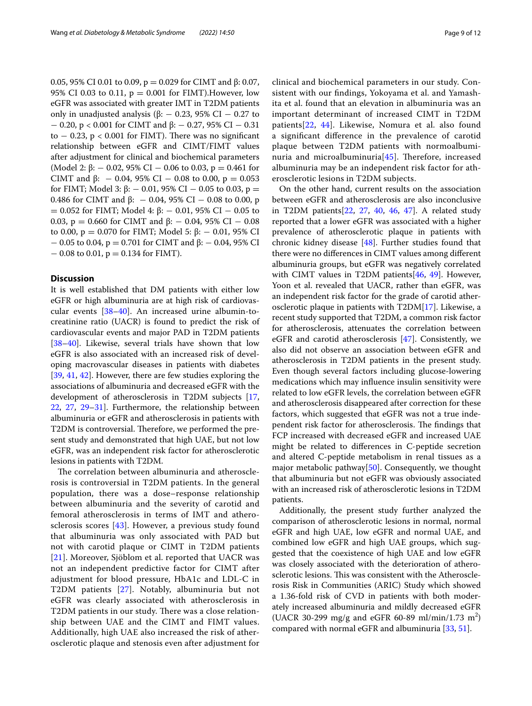0.05, 95% CI 0.01 to 0.09, p = 0.029 for CIMT and β: 0.07, 95% CI 0.03 to 0.11,  $p = 0.001$  for FIMT). However, low eGFR was associated with greater IMT in T2DM patients only in unadjusted analysis ( $\beta$ :  $-$  0.23, 95% CI  $-$  0.27 to − 0.20, p < 0.001 for CIMT and β: − 0.27, 95% CI − 0.31 to  $-$  0.23, p < 0.001 for FIMT). There was no significant relationship between eGFR and CIMT/FIMT values after adjustment for clinical and biochemical parameters (Model 2:  $\beta$ :  $-$  0.02, 95% CI  $-$  0.06 to 0.03, p  $=$  0.461 for CIMT and  $\beta$ : - 0.04, 95% CI - 0.08 to 0.00, p = 0.053 for FIMT; Model 3: β:  $-$  0.01, 95% CI  $-$  0.05 to 0.03, p = 0.486 for CIMT and β: − 0.04, 95% CI − 0.08 to 0.00, p  $= 0.052$  for FIMT; Model 4: β:  $- 0.01$ , 95% CI  $- 0.05$  to 0.03, p = 0.660 for CIMT and  $β$ : - 0.04, 95% CI - 0.08 to 0.00,  $p = 0.070$  for FIMT; Model 5: β: - 0.01, 95% CI  $-$  0.05 to 0.04, p = 0.701 for CIMT and β:  $-$  0.04, 95% CI  $-0.08$  to 0.01,  $p = 0.134$  for FIMT).

# **Discussion**

It is well established that DM patients with either low eGFR or high albuminuria are at high risk of cardiovascular events [[38–](#page-11-1)[40](#page-11-2)]. An increased urine albumin-tocreatinine ratio (UACR) is found to predict the risk of cardiovascular events and major PAD in T2DM patients [[38–](#page-11-1)[40](#page-11-2)]. Likewise, several trials have shown that low eGFR is also associated with an increased risk of developing macrovascular diseases in patients with diabetes [[39,](#page-11-3) [41](#page-11-4), [42](#page-11-5)]. However, there are few studies exploring the associations of albuminuria and decreased eGFR with the development of atherosclerosis in T2DM subjects [\[17](#page-10-13), [22,](#page-10-16) [27](#page-10-21), [29–](#page-10-30)[31\]](#page-10-23). Furthermore, the relationship between albuminuria or eGFR and atherosclerosis in patients with T2DM is controversial. Therefore, we performed the present study and demonstrated that high UAE, but not low eGFR, was an independent risk factor for atherosclerotic lesions in patients with T2DM.

The correlation between albuminuria and atherosclerosis is controversial in T2DM patients. In the general population, there was a dose–response relationship between albuminuria and the severity of carotid and femoral atherosclerosis in terms of IMT and atherosclerosis scores [[43](#page-11-6)]. However, a previous study found that albuminuria was only associated with PAD but not with carotid plaque or CIMT in T2DM patients [[21](#page-10-15)]. Moreover, Sjöblom et al. reported that UACR was not an independent predictive factor for CIMT after adjustment for blood pressure, HbA1c and LDL-C in T2DM patients [[27\]](#page-10-21). Notably, albuminuria but not eGFR was clearly associated with atherosclerosis in T2DM patients in our study. There was a close relationship between UAE and the CIMT and FIMT values. Additionally, high UAE also increased the risk of atherosclerotic plaque and stenosis even after adjustment for clinical and biochemical parameters in our study. Consistent with our fndings, Yokoyama et al. and Yamashita et al. found that an elevation in albuminuria was an important determinant of increased CIMT in T2DM patients[[22,](#page-10-16) [44](#page-11-7)]. Likewise, Nomura et al. also found a signifcant diference in the prevalence of carotid plaque between T2DM patients with normoalbuminuria and microalbuminuria $[45]$  $[45]$  $[45]$ . Therefore, increased albuminuria may be an independent risk factor for atherosclerotic lesions in T2DM subjects.

On the other hand, current results on the association between eGFR and atherosclerosis are also inconclusive in T2DM patients[[22](#page-10-16), [27](#page-10-21), [40,](#page-11-2) [46,](#page-11-9) [47](#page-11-10)]. A related study reported that a lower eGFR was associated with a higher prevalence of atherosclerotic plaque in patients with chronic kidney disease [[48\]](#page-11-11). Further studies found that there were no diferences in CIMT values among diferent albuminuria groups, but eGFR was negatively correlated with CIMT values in T2DM patients[\[46,](#page-11-9) [49\]](#page-11-12). However, Yoon et al. revealed that UACR, rather than eGFR, was an independent risk factor for the grade of carotid atherosclerotic plaque in patients with T2DM[\[17](#page-10-13)]. Likewise, a recent study supported that T2DM, a common risk factor for atherosclerosis, attenuates the correlation between eGFR and carotid atherosclerosis [[47](#page-11-10)]. Consistently, we also did not observe an association between eGFR and atherosclerosis in T2DM patients in the present study. Even though several factors including glucose-lowering medications which may infuence insulin sensitivity were related to low eGFR levels, the correlation between eGFR and atherosclerosis disappeared after correction for these factors, which suggested that eGFR was not a true independent risk factor for atherosclerosis. The findings that FCP increased with decreased eGFR and increased UAE might be related to diferences in C-peptide secretion and altered C-peptide metabolism in renal tissues as a major metabolic pathway $[50]$  $[50]$ . Consequently, we thought that albuminuria but not eGFR was obviously associated with an increased risk of atherosclerotic lesions in T2DM patients.

Additionally, the present study further analyzed the comparison of atherosclerotic lesions in normal, normal eGFR and high UAE, low eGFR and normal UAE, and combined low eGFR and high UAE groups, which suggested that the coexistence of high UAE and low eGFR was closely associated with the deterioration of atherosclerotic lesions. This was consistent with the Atherosclerosis Risk in Communities (ARIC) Study which showed a 1.36-fold risk of CVD in patients with both moderately increased albuminuria and mildly decreased eGFR (UACR 30-299 mg/g and eGFR 60-89 ml/min/1.73 m<sup>2</sup>) compared with normal eGFR and albuminuria [[33,](#page-10-26) [51](#page-11-14)].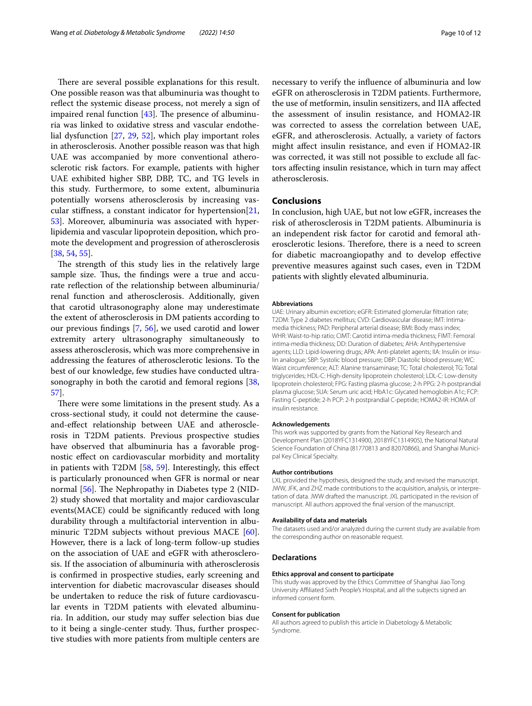There are several possible explanations for this result. One possible reason was that albuminuria was thought to refect the systemic disease process, not merely a sign of impaired renal function  $[43]$ . The presence of albuminuria was linked to oxidative stress and vascular endothelial dysfunction [[27](#page-10-21), [29,](#page-10-30) [52](#page-11-15)], which play important roles in atherosclerosis. Another possible reason was that high UAE was accompanied by more conventional atherosclerotic risk factors. For example, patients with higher UAE exhibited higher SBP, DBP, TC, and TG levels in this study. Furthermore, to some extent, albuminuria potentially worsens atherosclerosis by increasing vascular stiffness, a constant indicator for hypertension[ $21$ , [53\]](#page-11-16). Moreover, albuminuria was associated with hyperlipidemia and vascular lipoprotein deposition, which promote the development and progression of atherosclerosis [[38,](#page-11-1) [54](#page-11-17), [55](#page-11-18)].

The strength of this study lies in the relatively large sample size. Thus, the findings were a true and accurate refection of the relationship between albuminuria/ renal function and atherosclerosis. Additionally, given that carotid ultrasonography alone may underestimate the extent of atherosclerosis in DM patients according to our previous fndings [[7,](#page-10-4) [56\]](#page-11-19), we used carotid and lower extremity artery ultrasonography simultaneously to assess atherosclerosis, which was more comprehensive in addressing the features of atherosclerotic lesions. To the best of our knowledge, few studies have conducted ultrasonography in both the carotid and femoral regions [\[38](#page-11-1), [57\]](#page-11-20).

There were some limitations in the present study. As a cross-sectional study, it could not determine the causeand-efect relationship between UAE and atherosclerosis in T2DM patients. Previous prospective studies have observed that albuminuria has a favorable prognostic efect on cardiovascular morbidity and mortality in patients with T2DM [[58](#page-11-21), [59\]](#page-11-22). Interestingly, this efect is particularly pronounced when GFR is normal or near normal  $[56]$  $[56]$ . The Nephropathy in Diabetes type 2 (NID-2) study showed that mortality and major cardiovascular events(MACE) could be signifcantly reduced with long durability through a multifactorial intervention in albu-minuric T2DM subjects without previous MACE [\[60](#page-11-23)]. However, there is a lack of long-term follow-up studies on the association of UAE and eGFR with atherosclerosis. If the association of albuminuria with atherosclerosis is confrmed in prospective studies, early screening and intervention for diabetic macrovascular diseases should be undertaken to reduce the risk of future cardiovascular events in T2DM patients with elevated albuminuria. In addition, our study may sufer selection bias due to it being a single-center study. Thus, further prospective studies with more patients from multiple centers are necessary to verify the infuence of albuminuria and low eGFR on atherosclerosis in T2DM patients. Furthermore, the use of metformin, insulin sensitizers, and IIA afected the assessment of insulin resistance, and HOMA2-IR was corrected to assess the correlation between UAE, eGFR, and atherosclerosis. Actually, a variety of factors might afect insulin resistance, and even if HOMA2-IR was corrected, it was still not possible to exclude all factors afecting insulin resistance, which in turn may afect atherosclerosis.

## **Conclusions**

In conclusion, high UAE, but not low eGFR, increases the risk of atherosclerosis in T2DM patients. Albuminuria is an independent risk factor for carotid and femoral atherosclerotic lesions. Therefore, there is a need to screen for diabetic macroangiopathy and to develop efective preventive measures against such cases, even in T2DM patients with slightly elevated albuminuria.

#### **Abbreviations**

UAE: Urinary albumin excretion; eGFR: Estimated glomerular fltration rate; T2DM: Type 2 diabetes mellitus; CVD: Cardiovascular disease; IMT: Intimamedia thickness; PAD: Peripheral arterial disease; BMI: Body mass index; WHR: Waist-to-hip ratio; CIMT: Carotid intima-media thickness; FIMT: Femoral intima-media thickness; DD: Duration of diabetes; AHA: Antihypertensive agents; LLD: Lipid-lowering drugs; APA: Anti-platelet agents; IIA: Insulin or insulin analogue; SBP: Systolic blood pressure; DBP: Diastolic blood pressure; WC: Waist circumference; ALT: Alanine transaminase; TC: Total cholesterol; TG: Total triglycerides; HDL-C: High-density lipoprotein cholesterol; LDL-C: Low-density lipoprotein cholesterol; FPG: Fasting plasma glucose; 2-h PPG: 2-h postprandial plasma glucose; SUA: Serum uric acid; HbA1c: Glycated hemoglobin A1c; FCP: Fasting C-peptide; 2-h PCP: 2-h postprandial C-peptide; HOMA2-IR: HOMA of insulin resistance.

#### **Acknowledgements**

This work was supported by grants from the National Key Research and Development Plan (2018YFC1314900, 2018YFC1314905), the National Natural Science Foundation of China (81770813 and 82070866), and Shanghai Municipal Key Clinical Specialty.

#### **Author contributions**

LXL provided the hypothesis, designed the study, and revised the manuscript. JWW, JFK, and ZHZ made contributions to the acquisition, analysis, or interpretation of data. JWW drafted the manuscript. JXL participated in the revision of manuscript. All authors approved the fnal version of the manuscript.

#### **Availability of data and materials**

The datasets used and/or analyzed during the current study are available from the corresponding author on reasonable request.

#### **Declarations**

#### **Ethics approval and consent to participate**

This study was approved by the Ethics Committee of Shanghai Jiao Tong University Afliated Sixth People's Hospital, and all the subjects signed an informed consent form.

#### **Consent for publication**

All authors agreed to publish this article in Diabetology & Metabolic Syndrome.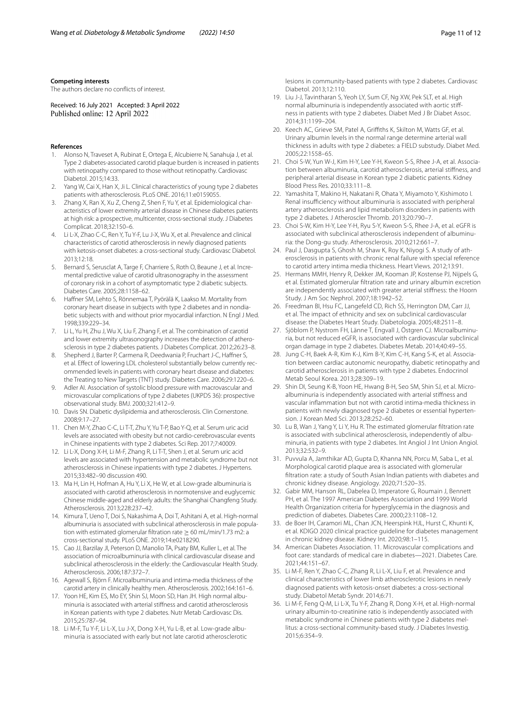#### **Competing interests**

The authors declare no conficts of interest.

Received: 16 July 2021 Accepted: 3 April 2022

#### **References**

- <span id="page-10-0"></span>1. Alonso N, Traveset A, Rubinat E, Ortega E, Alcubierre N, Sanahuja J, et al. Type 2 diabetes-associated carotid plaque burden is increased in patients with retinopathy compared to those without retinopathy. Cardiovasc Diabetol. 2015;14:33.
- <span id="page-10-1"></span>2. Yang W, Cai X, Han X, Ji L. Clinical characteristics of young type 2 diabetes patients with atherosclerosis. PLoS ONE. 2016;11:e0159055.
- 3. Zhang X, Ran X, Xu Z, Cheng Z, Shen F, Yu Y, et al. Epidemiological characteristics of lower extremity arterial disease in Chinese diabetes patients at high risk: a prospective, multicenter, cross-sectional study. J Diabetes Complicat. 2018;32:150–6.
- <span id="page-10-2"></span>4. Li L-X, Zhao C-C, Ren Y, Tu Y-F, Lu J-X, Wu X, et al. Prevalence and clinical characteristics of carotid atherosclerosis in newly diagnosed patients with ketosis-onset diabetes: a cross-sectional study. Cardiovasc Diabetol. 2013;12:18.
- <span id="page-10-3"></span>5. Bernard S, Serusclat A, Targe F, Charriere S, Roth O, Beaune J, et al. Incremental predictive value of carotid ultrasonography in the assessment of coronary risk in a cohort of asymptomatic type 2 diabetic subjects. Diabetes Care. 2005;28:1158–62.
- 6. Hafner SM, Lehto S, Rönnemaa T, Pyörälä K, Laakso M. Mortality from coronary heart disease in subjects with type 2 diabetes and in nondiabetic subjects with and without prior myocardial infarction. N Engl J Med. 1998;339:229–34.
- <span id="page-10-4"></span>7. Li L, Yu H, Zhu J, Wu X, Liu F, Zhang F, et al. The combination of carotid and lower extremity ultrasonography increases the detection of atherosclerosis in type 2 diabetes patients. J Diabetes Complicat. 2012;26:23–8.
- <span id="page-10-5"></span>Shepherd J, Barter P, Carmena R, Deedwania P, Fruchart J-C, Haffner S, et al. Effect of lowering LDL cholesterol substantially below currently recommended levels in patients with coronary heart disease and diabetes: the Treating to New Targets (TNT) study. Diabetes Care. 2006;29:1220–6.
- <span id="page-10-6"></span>9. Adler AI. Association of systolic blood pressure with macrovascular and microvascular complications of type 2 diabetes (UKPDS 36): prospective observational study. BMJ. 2000;321:412–9.
- <span id="page-10-7"></span>10. Davis SN. Diabetic dyslipidemia and atherosclerosis. Clin Cornerstone. 2008;9:17–27.
- <span id="page-10-24"></span>11. Chen M-Y, Zhao C-C, Li T-T, Zhu Y, Yu T-P, Bao Y-Q, et al. Serum uric acid levels are associated with obesity but not cardio-cerebrovascular events in Chinese inpatients with type 2 diabetes. Sci Rep. 2017;7:40009.
- <span id="page-10-8"></span>12. Li L-X, Dong X-H, Li M-F, Zhang R, Li T-T, Shen J, et al. Serum uric acid levels are associated with hypertension and metabolic syndrome but not atherosclerosis in Chinese inpatients with type 2 diabetes. J Hypertens. 2015;33:482–90 discussion 490.
- <span id="page-10-9"></span>13. Ma H, Lin H, Hofman A, Hu Y, Li X, He W, et al. Low-grade albuminuria is associated with carotid atherosclerosis in normotensive and euglycemic Chinese middle-aged and elderly adults: the Shanghai Changfeng Study. Atherosclerosis. 2013;228:237–42.
- <span id="page-10-10"></span>14. Kimura T, Ueno T, Doi S, Nakashima A, Doi T, Ashitani A, et al. High-normal albuminuria is associated with subclinical atherosclerosis in male population with estimated glomerular filtration rate  $\geq 60$  mL/min/1.73 m2: a cross-sectional study. PLoS ONE. 2019;14:e0218290.
- <span id="page-10-11"></span>15. Cao JJ, Barzilay JI, Peterson D, Manolio TA, Psaty BM, Kuller L, et al. The association of microalbuminuria with clinical cardiovascular disease and subclinical atherosclerosis in the elderly: the Cardiovascular Health Study. Atherosclerosis. 2006;187:372–7.
- <span id="page-10-12"></span>16. Agewall S, Björn F. Microalbuminuria and intima-media thickness of the carotid artery in clinically healthy men. Atherosclerosis. 2002;164:161–6.
- <span id="page-10-13"></span>17. Yoon HE, Kim ES, Mo EY, Shin SJ, Moon SD, Han JH. High normal albuminuria is associated with arterial stifness and carotid atherosclerosis in Korean patients with type 2 diabetes. Nutr Metab Cardiovasc Dis. 2015;25:787–94.
- 18. Li M-F, Tu Y-F, Li L-X, Lu J-X, Dong X-H, Yu L-B, et al. Low-grade albuminuria is associated with early but not late carotid atherosclerotic

lesions in community-based patients with type 2 diabetes. Cardiovasc Diabetol. 2013;12:110.

- 19. Liu J-J, Tavintharan S, Yeoh LY, Sum CF, Ng XW, Pek SLT, et al. High normal albuminuria is independently associated with aortic stiffness in patients with type 2 diabetes. Diabet Med J Br Diabet Assoc. 2014;31:1199–204.
- <span id="page-10-14"></span>20. Keech AC, Grieve SM, Patel A, Grifths K, Skilton M, Watts GF, et al. Urinary albumin levels in the normal range determine arterial wall thickness in adults with type 2 diabetes: a FIELD substudy. Diabet Med. 2005;22:1558–65.
- <span id="page-10-15"></span>21. Choi S-W, Yun W-J, Kim H-Y, Lee Y-H, Kweon S-S, Rhee J-A, et al. Association between albuminuria, carotid atherosclerosis, arterial stifness, and peripheral arterial disease in Korean type 2 diabetic patients. Kidney Blood Press Res. 2010;33:111–8.
- <span id="page-10-16"></span>22. Yamashita T, Makino H, Nakatani R, Ohata Y, Miyamoto Y, Kishimoto I. Renal insufficiency without albuminuria is associated with peripheral artery atherosclerosis and lipid metabolism disorders in patients with type 2 diabetes. J Atheroscler Thromb. 2013;20:790–7.
- <span id="page-10-17"></span>23. Choi S-W, Kim H-Y, Lee Y-H, Ryu S-Y, Kweon S-S, Rhee J-A, et al. eGFR is associated with subclinical atherosclerosis independent of albuminuria: the Dong-gu study. Atherosclerosis. 2010;212:661–7.
- <span id="page-10-18"></span>24. Paul J, Dasgupta S, Ghosh M, Shaw K, Roy K, Niyogi S. A study of atherosclerosis in patients with chronic renal failure with special reference to carotid artery intima media thickness. Heart Views. 2012;13:91.
- <span id="page-10-19"></span>25. Hermans MMH, Henry R, Dekker JM, Kooman JP, Kostense PJ, Nijpels G, et al. Estimated glomerular fltration rate and urinary albumin excretion are independently associated with greater arterial stifness: the Hoorn Study. J Am Soc Nephrol. 2007;18:1942–52.
- <span id="page-10-20"></span>26. Freedman BI, Hsu FC, Langefeld CD, Rich SS, Herrington DM, Carr JJ, et al. The impact of ethnicity and sex on subclinical cardiovascular disease: the Diabetes Heart Study. Diabetologia. 2005;48:2511–8.
- <span id="page-10-21"></span>27. Sjöblom P, Nystrom FH, Länne T, Engvall J, Östgren CJ. Microalbuminuria, but not reduced eGFR, is associated with cardiovascular subclinical organ damage in type 2 diabetes. Diabetes Metab. 2014;40:49–55.
- <span id="page-10-22"></span>28. Jung C-H, Baek A-R, Kim K-J, Kim B-Y, Kim C-H, Kang S-K, et al. Association between cardiac autonomic neuropathy, diabetic retinopathy and carotid atherosclerosis in patients with type 2 diabetes. Endocrinol Metab Seoul Korea. 2013;28:309–19.
- <span id="page-10-30"></span>29. Shin DI, Seung K-B, Yoon HE, Hwang B-H, Seo SM, Shin SJ, et al. Microalbuminuria is independently associated with arterial stifness and vascular infammation but not with carotid intima-media thickness in patients with newly diagnosed type 2 diabetes or essential hypertension. J Korean Med Sci. 2013;28:252–60.
- 30. Lu B, Wan J, Yang Y, Li Y, Hu R. The estimated glomerular fltration rate is associated with subclinical atherosclerosis, independently of albuminuria, in patients with type 2 diabetes. Int Angiol J Int Union Angiol. 2013;32:532–9.
- <span id="page-10-23"></span>31. Puvvula A, Jamthikar AD, Gupta D, Khanna NN, Porcu M, Saba L, et al. Morphological carotid plaque area is associated with glomerular fltration rate: a study of South Asian Indian patients with diabetes and chronic kidney disease. Angiology. 2020;71:520–35.
- <span id="page-10-25"></span>32. Gabir MM, Hanson RL, Dabelea D, Imperatore G, Roumain J, Bennett PH, et al. The 1997 American Diabetes Association and 1999 World Health Organization criteria for hyperglycemia in the diagnosis and prediction of diabetes. Diabetes Care. 2000;23:1108–12.
- <span id="page-10-26"></span>33. de Boer IH, Caramori ML, Chan JCN, Heerspink HJL, Hurst C, Khunti K, et al. KDIGO 2020 clinical practice guideline for diabetes management in chronic kidney disease. Kidney Int. 2020;98:1–115.
- <span id="page-10-27"></span>34. American Diabetes Association. 11. Microvascular complications and foot care: standards of medical care in diabetes—2021. Diabetes Care. 2021;44:151–67.
- <span id="page-10-28"></span>35. Li M-F, Ren Y, Zhao C-C, Zhang R, Li L-X, Liu F, et al. Prevalence and clinical characteristics of lower limb atherosclerotic lesions in newly diagnosed patients with ketosis-onset diabetes: a cross-sectional study. Diabetol Metab Syndr. 2014;6:71.
- <span id="page-10-29"></span>36. Li M-F, Feng Q-M, Li L-X, Tu Y-F, Zhang R, Dong X-H, et al. High-normal urinary albumin-to-creatinine ratio is independently associated with metabolic syndrome in Chinese patients with type 2 diabetes mellitus: a cross-sectional community-based study. J Diabetes Investig. 2015;6:354–9.